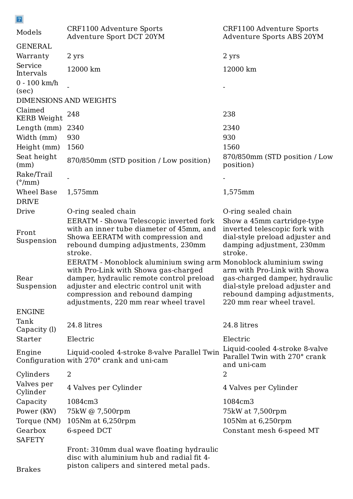| $\mathbb{E}$                         |                                                                                                                                                                                                                                                                             |                                                                                                                                                               |  |
|--------------------------------------|-----------------------------------------------------------------------------------------------------------------------------------------------------------------------------------------------------------------------------------------------------------------------------|---------------------------------------------------------------------------------------------------------------------------------------------------------------|--|
| Models                               | CRF1100 Adventure Sports<br>Adventure Sport DCT 20YM                                                                                                                                                                                                                        | CRF1100 Adventure Sports<br>Adventure Sports ABS 20YM                                                                                                         |  |
| <b>GENERAL</b>                       |                                                                                                                                                                                                                                                                             |                                                                                                                                                               |  |
| Warranty                             | 2 yrs                                                                                                                                                                                                                                                                       | 2 yrs                                                                                                                                                         |  |
| Service<br>Intervals                 | 12000 km                                                                                                                                                                                                                                                                    | 12000 km                                                                                                                                                      |  |
| $0 - 100$ km/h<br>(sec)              |                                                                                                                                                                                                                                                                             |                                                                                                                                                               |  |
| <b>DIMENSIONS AND WEIGHTS</b>        |                                                                                                                                                                                                                                                                             |                                                                                                                                                               |  |
| Claimed<br><b>KERB</b> Weight        | 248                                                                                                                                                                                                                                                                         | 238                                                                                                                                                           |  |
| Length (mm)                          | 2340                                                                                                                                                                                                                                                                        | 2340                                                                                                                                                          |  |
| Width (mm)                           | 930                                                                                                                                                                                                                                                                         | 930                                                                                                                                                           |  |
| Height (mm)                          | 1560                                                                                                                                                                                                                                                                        | 1560                                                                                                                                                          |  |
| Seat height<br>(mm)                  | 870/850mm (STD position / Low position)                                                                                                                                                                                                                                     | 870/850mm (STD position / Low<br>position)                                                                                                                    |  |
| Rake/Trail<br>$(^{\circ}/\text{mm})$ |                                                                                                                                                                                                                                                                             |                                                                                                                                                               |  |
| Wheel Base                           | 1,575mm                                                                                                                                                                                                                                                                     | 1,575mm                                                                                                                                                       |  |
| <b>DRIVE</b>                         |                                                                                                                                                                                                                                                                             |                                                                                                                                                               |  |
| Drive                                | O-ring sealed chain                                                                                                                                                                                                                                                         | O-ring sealed chain                                                                                                                                           |  |
| Front<br>Suspension                  | EERATM - Showa Telescopic inverted fork<br>with an inner tube diameter of 45mm, and<br>Showa EERATM with compression and<br>rebound dumping adjustments, 230mm<br>stroke.                                                                                                   | Show a 45mm cartridge-type<br>inverted telescopic fork with<br>dial-style preload adjuster and<br>damping adjustment, 230mm<br>stroke.                        |  |
| Rear<br>Suspension                   | EERATM - Monoblock aluminium swing arm Monoblock aluminium swing<br>with Pro-Link with Showa gas-charged<br>damper, hydraulic remote control preload<br>adjuster and electric control unit with<br>compression and rebound damping<br>adjustments, 220 mm rear wheel travel | arm with Pro-Link with Showa<br>gas-charged damper, hydraulic<br>dial-style preload adjuster and<br>rebound damping adjustments,<br>220 mm rear wheel travel. |  |
| <b>ENGINE</b>                        |                                                                                                                                                                                                                                                                             |                                                                                                                                                               |  |
| Tank<br>Capacity (l)                 | 24.8 litres                                                                                                                                                                                                                                                                 | 24.8 litres                                                                                                                                                   |  |
| Starter                              | Electric                                                                                                                                                                                                                                                                    | Electric                                                                                                                                                      |  |
| Engine                               | Liquid-cooled 4-stroke 8-valve Parallel Twin<br>Configuration with 270° crank and uni-cam                                                                                                                                                                                   | Liquid-cooled 4-stroke 8-valve<br>Parallel Twin with 270° crank<br>and uni-cam                                                                                |  |
| Cylinders                            | 2                                                                                                                                                                                                                                                                           | 2                                                                                                                                                             |  |

```
Valves per
Cylinder
        4 Valves per Cylinder 1986 (4 Valves per Cylinder
Capacity 1084cm3 1084cm3
Power (KW) 75kW @ 7,500rpm 75kW at 7,500rpm
Torque (NM) 105Nm at 6,250rpm 105Nm at 6,250rpm
Gearbox 6-speed DCT Constant mesh 6-speed MT
SAFETY
```
Brakes

 $\sim$ 

Front: 310mm dual wave floating hydraulic disc with aluminium hub and radial fit 4 piston calipers and sintered metal pads.